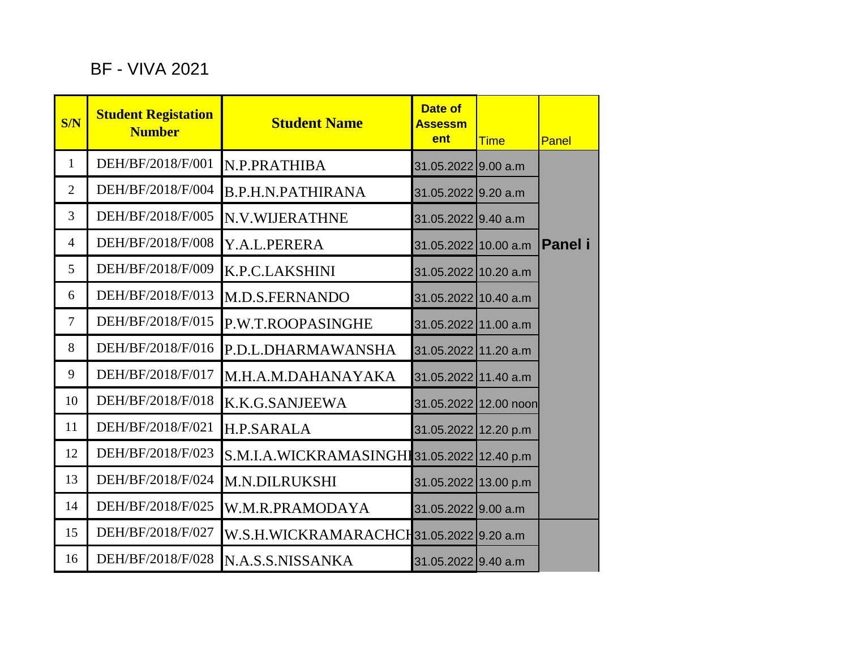## BF - VIVA 2021

| S/N            | <b>Student Registation</b><br><b>Number</b> | <b>Student Name</b>                         | <b>Date of</b><br><b>Assessm</b><br>ent | <b>Time</b> | Panel   |
|----------------|---------------------------------------------|---------------------------------------------|-----------------------------------------|-------------|---------|
| $\mathbf{1}$   | DEH/BF/2018/F/001                           | N.P.PRATHIBA                                | 31.05.2022 9.00 a.m                     |             |         |
| $\overline{2}$ | DEH/BF/2018/F/004                           | <b>B.P.H.N.PATHIRANA</b>                    | 31.05.2022 9.20 a.m                     |             |         |
| $\overline{3}$ | DEH/BF/2018/F/005                           | N.V.WIJERATHNE                              | 31.05.2022 9.40 a.m                     |             |         |
| $\overline{4}$ | DEH/BF/2018/F/008                           | Y.A.L.PERERA                                | 31.05.2022 10.00 a.m                    |             | Panel i |
| 5              | DEH/BF/2018/F/009                           | <b>K.P.C.LAKSHINI</b>                       | 31.05.2022 10.20 a.m                    |             |         |
| 6              | DEH/BF/2018/F/013                           | M.D.S.FERNANDO                              | 31.05.2022 10.40 a.m                    |             |         |
| 7              | DEH/BF/2018/F/015                           | P.W.T.ROOPASINGHE                           | 31.05.2022 11.00 a.m                    |             |         |
| 8              | DEH/BF/2018/F/016                           | P.D.L.DHARMAWANSHA                          | 31.05.2022 11.20 a.m                    |             |         |
| 9              | DEH/BF/2018/F/017                           | M.H.A.M.DAHANAYAKA                          | 31.05.2022 11.40 a.m                    |             |         |
| 10             | DEH/BF/2018/F/018                           | K.K.G.SANJEEWA                              | 31.05.2022 12.00 noon                   |             |         |
| 11             | DEH/BF/2018/F/021                           | <b>H.P.SARALA</b>                           | 31.05.2022 12.20 p.m                    |             |         |
| 12             | DEH/BF/2018/F/023                           | S.M.I.A.WICKRAMASINGHI 31.05.2022 12.40 p.m |                                         |             |         |
| 13             | DEH/BF/2018/F/024                           | <b>M.N.DILRUKSHI</b>                        | 31.05.2022 13.00 p.m                    |             |         |
| 14             | DEH/BF/2018/F/025                           | W.M.R.PRAMODAYA                             | 31.05.2022 9.00 a.m                     |             |         |
| 15             | DEH/BF/2018/F/027                           | W.S.H.WICKRAMARACHCH31.05.2022 9.20 a.m     |                                         |             |         |
| 16             | DEH/BF/2018/F/028                           | N.A.S.S.NISSANKA                            | 31.05.2022 9.40 a.m                     |             |         |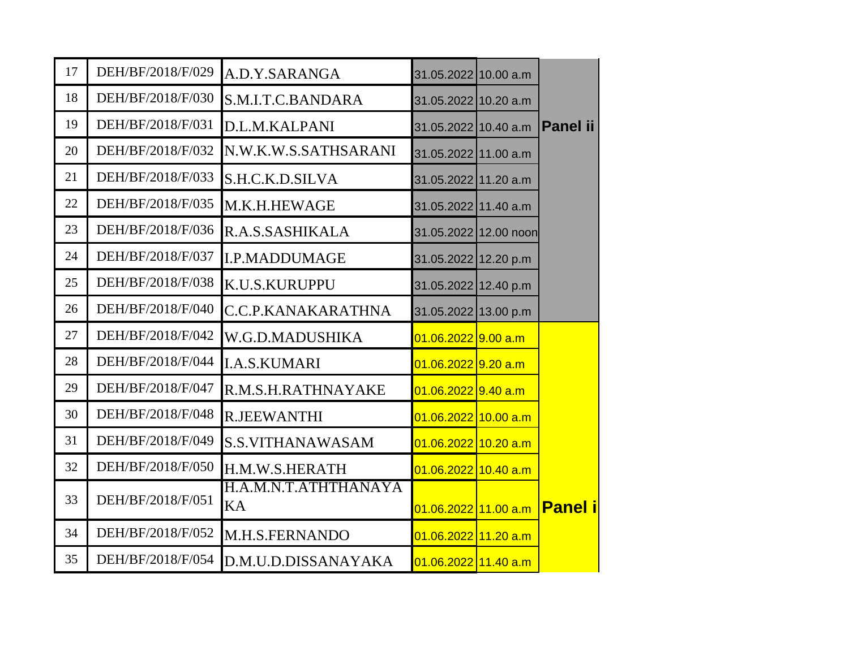| 17 | DEH/BF/2018/F/029 | A.D.Y.SARANGA              | 31.05.2022 10.00 a.m             |                 |
|----|-------------------|----------------------------|----------------------------------|-----------------|
| 18 | DEH/BF/2018/F/030 | S.M.I.T.C.BANDARA          | 31.05.2022 10.20 a.m             |                 |
| 19 | DEH/BF/2018/F/031 | D.L.M.KALPANI              | 31.05.2022 10.40 a.m             | <b>Panel ii</b> |
| 20 | DEH/BF/2018/F/032 | N.W.K.W.S.SATHSARANI       | 31.05.2022 11.00 a.m             |                 |
| 21 | DEH/BF/2018/F/033 | S.H.C.K.D.SILVA            | 31.05.2022 11.20 a.m             |                 |
| 22 | DEH/BF/2018/F/035 | M.K.H.HEWAGE               | 31.05.2022 11.40 a.m             |                 |
| 23 | DEH/BF/2018/F/036 | R.A.S.SASHIKALA            | 31.05.2022 12.00 noon            |                 |
| 24 | DEH/BF/2018/F/037 | <b>I.P.MADDUMAGE</b>       | 31.05.2022 12.20 p.m             |                 |
| 25 | DEH/BF/2018/F/038 | K.U.S.KURUPPU              | 31.05.2022 12.40 p.m             |                 |
| 26 | DEH/BF/2018/F/040 | C.C.P.KANAKARATHNA         | 31.05.2022 13.00 p.m             |                 |
| 27 | DEH/BF/2018/F/042 | W.G.D.MADUSHIKA            | <mark>01.06.2022 9.00 a.m</mark> |                 |
| 28 | DEH/BF/2018/F/044 | <b>I.A.S.KUMARI</b>        | 01.06.2022 9.20 a.m              |                 |
| 29 | DEH/BF/2018/F/047 | R.M.S.H.RATHNAYAKE         | 01.06.2022 9.40 a.m              |                 |
| 30 | DEH/BF/2018/F/048 | <b>R.JEEWANTHI</b>         | 01.06.2022 10.00 a.m             |                 |
| 31 | DEH/BF/2018/F/049 | <b>S.S.VITHANAWASAM</b>    | 01.06.2022 10.20 a.m             |                 |
| 32 | DEH/BF/2018/F/050 | H.M.W.S.HERATH             | 01.06.2022 10.40 a.m             |                 |
| 33 | DEH/BF/2018/F/051 | H.A.M.N.T.ATHTHANAYA<br>KA | 01.06.2022 11.00 a.m             | <b>Panel i</b>  |
| 34 | DEH/BF/2018/F/052 | M.H.S.FERNANDO             | 01.06.2022 11.20 a.m             |                 |
| 35 | DEH/BF/2018/F/054 | D.M.U.D.DISSANAYAKA        | 01.06.2022 11.40 a.m             |                 |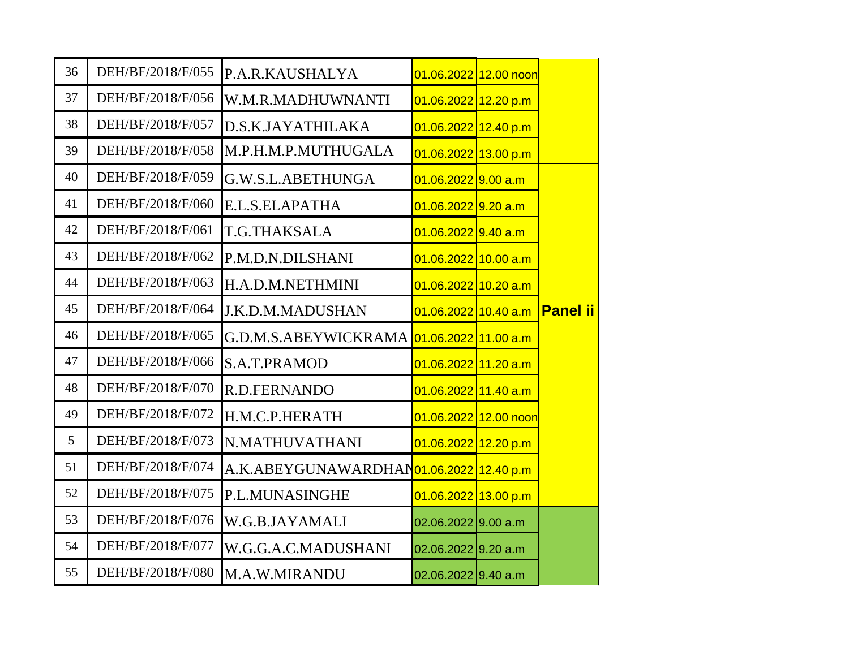| 36 | DEH/BF/2018/F/055 | P.A.R.KAUSHALYA                           | 01.06.2022 12.00 noon  |                 |
|----|-------------------|-------------------------------------------|------------------------|-----------------|
| 37 | DEH/BF/2018/F/056 | W.M.R.MADHUWNANTI                         | 01.06.2022 12.20 p.m   |                 |
| 38 | DEH/BF/2018/F/057 | D.S.K.JAYATHILAKA                         | $01.06.2022$ 12.40 p.m |                 |
| 39 | DEH/BF/2018/F/058 | M.P.H.M.P.MUTHUGALA                       | 01.06.2022 13.00 p.m   |                 |
| 40 | DEH/BF/2018/F/059 | G.W.S.L.ABETHUNGA                         | $01.06.2022$ 9.00 a.m  |                 |
| 41 | DEH/BF/2018/F/060 | E.L.S.ELAPATHA                            | $01.06.2022$ 9.20 a.m  |                 |
| 42 | DEH/BF/2018/F/061 | T.G.THAKSALA                              | $01.06.2022$ 9.40 a.m  |                 |
| 43 | DEH/BF/2018/F/062 | P.M.D.N.DILSHANI                          | $01.06.2022$ 10.00 a.m |                 |
| 44 | DEH/BF/2018/F/063 | H.A.D.M.NETHMINI                          | 01.06.2022 10.20 a.m   |                 |
| 45 | DEH/BF/2018/F/064 | <b>J.K.D.M.MADUSHAN</b>                   | 01.06.2022 10.40 a.m   | <b>Panel ii</b> |
| 46 | DEH/BF/2018/F/065 | G.D.M.S.ABEYWICKRAMA 01.06.2022 11.00 a.m |                        |                 |
| 47 | DEH/BF/2018/F/066 | S.A.T.PRAMOD                              | 01.06.2022 11.20 a.m   |                 |
| 48 | DEH/BF/2018/F/070 | R.D.FERNANDO                              | 01.06.2022 11.40 a.m   |                 |
| 49 | DEH/BF/2018/F/072 | H.M.C.P.HERATH                            | 01.06.2022 12.00 noon  |                 |
| 5  | DEH/BF/2018/F/073 | N.MATHUVATHANI                            | 01.06.2022 12.20 p.m   |                 |
| 51 | DEH/BF/2018/F/074 | A.K.ABEYGUNAWARDHAN01.06.2022 12.40 p.m   |                        |                 |
| 52 | DEH/BF/2018/F/075 | P.L.MUNASINGHE                            | 01.06.2022 13.00 p.m   |                 |
| 53 | DEH/BF/2018/F/076 | W.G.B.JAYAMALI                            | $02.06.2022$ 9.00 a.m  |                 |
| 54 | DEH/BF/2018/F/077 | W.G.G.A.C.MADUSHANI                       | 02.06.2022 9.20 a.m    |                 |
| 55 | DEH/BF/2018/F/080 | M.A.W.MIRANDU                             | $02.06.2022$ 9.40 a.m  |                 |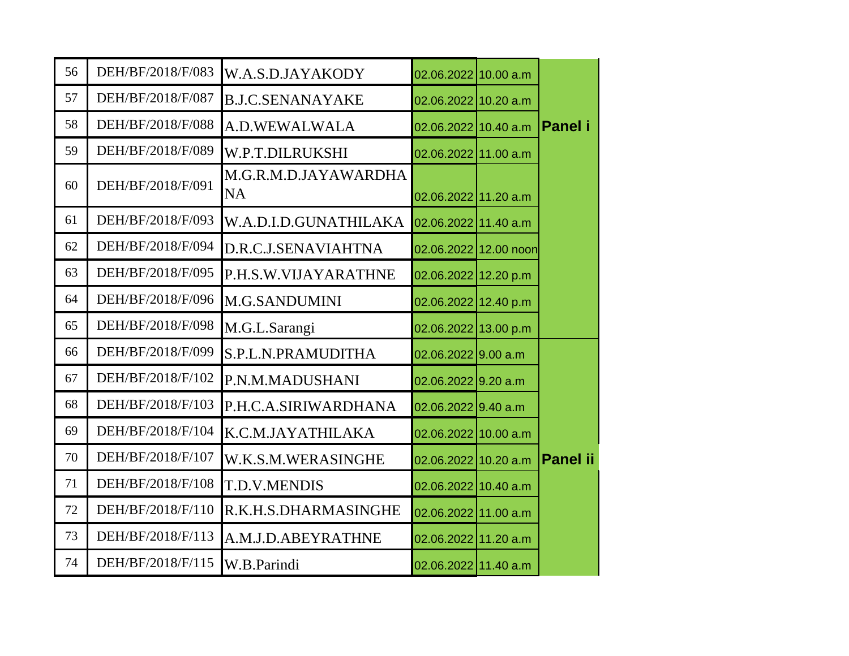| 56 | DEH/BF/2018/F/083 | W.A.S.D.JAYAKODY                  | 02.06.2022 10.00 a.m  |                 |
|----|-------------------|-----------------------------------|-----------------------|-----------------|
| 57 | DEH/BF/2018/F/087 | <b>B.J.C.SENANAYAKE</b>           | 02.06.2022 10.20 a.m  |                 |
| 58 | DEH/BF/2018/F/088 | A.D.WEWALWALA                     | 02.06.2022 10.40 a.m  | Panel i         |
| 59 | DEH/BF/2018/F/089 | W.P.T.DILRUKSHI                   | 02.06.2022 11.00 a.m  |                 |
| 60 | DEH/BF/2018/F/091 | M.G.R.M.D.JAYAWARDHA<br><b>NA</b> | 02.06.2022 11.20 a.m  |                 |
| 61 | DEH/BF/2018/F/093 | W.A.D.I.D.GUNATHILAKA             | 02.06.2022 11.40 a.m  |                 |
| 62 | DEH/BF/2018/F/094 | D.R.C.J.SENAVIAHTNA               | 02.06.2022 12.00 noon |                 |
| 63 | DEH/BF/2018/F/095 | P.H.S.W.VIJAYARATHNE              | 02.06.2022 12.20 p.m  |                 |
| 64 | DEH/BF/2018/F/096 | <b>M.G.SANDUMINI</b>              | 02.06.2022 12.40 p.m  |                 |
| 65 | DEH/BF/2018/F/098 | M.G.L.Sarangi                     | 02.06.2022 13.00 p.m  |                 |
| 66 | DEH/BF/2018/F/099 | S.P.L.N.PRAMUDITHA                | $02.06.2022$ 9.00 a.m |                 |
| 67 | DEH/BF/2018/F/102 | P.N.M.MADUSHANI                   | $02.06.2022$ 9.20 a.m |                 |
| 68 | DEH/BF/2018/F/103 | P.H.C.A.SIRIWARDHANA              | $02.06.2022$ 9.40 a.m |                 |
| 69 | DEH/BF/2018/F/104 | K.C.M.JAYATHILAKA                 | 02.06.2022 10.00 a.m  |                 |
| 70 | DEH/BF/2018/F/107 | W.K.S.M.WERASINGHE                | 02.06.2022 10.20 a.m  | <b>Panel ii</b> |
| 71 | DEH/BF/2018/F/108 | <b>T.D.V.MENDIS</b>               | 02.06.2022 10.40 a.m  |                 |
| 72 | DEH/BF/2018/F/110 | R.K.H.S.DHARMASINGHE              | 02.06.2022 11.00 a.m  |                 |
| 73 | DEH/BF/2018/F/113 | A.M.J.D.ABEYRATHNE                | 02.06.2022 11.20 a.m  |                 |
| 74 | DEH/BF/2018/F/115 | W.B.Parindi                       | 02.06.2022 11.40 a.m  |                 |